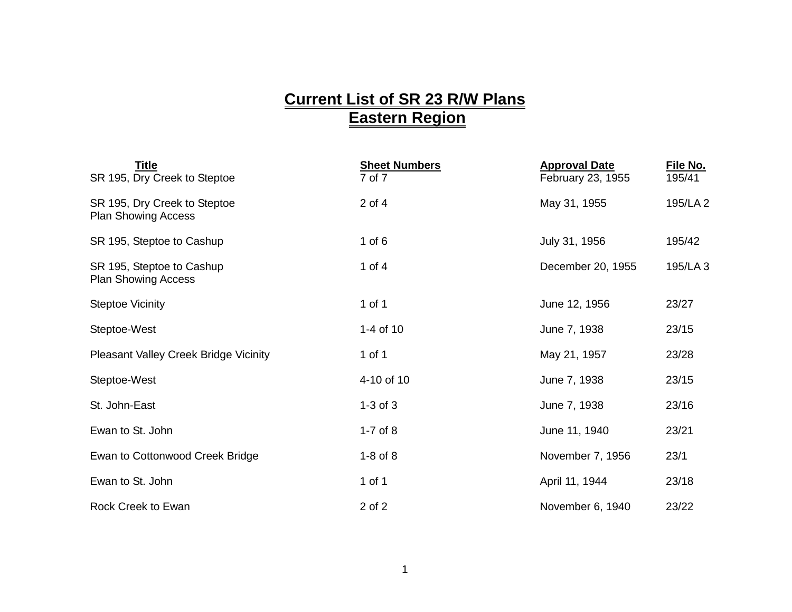## **Current List of SR 23 R/W Plans Eastern Region**

| Title<br>SR 195, Dry Creek to Steptoe                      | <b>Sheet Numbers</b><br>7 of 7 | <b>Approval Date</b><br>February 23, 1955 | File No.<br>195/41 |
|------------------------------------------------------------|--------------------------------|-------------------------------------------|--------------------|
| SR 195, Dry Creek to Steptoe<br><b>Plan Showing Access</b> | $2$ of $4$                     | May 31, 1955                              | 195/LA 2           |
| SR 195, Steptoe to Cashup                                  | 1 of $6$                       | July 31, 1956                             | 195/42             |
| SR 195, Steptoe to Cashup<br><b>Plan Showing Access</b>    | 1 of $4$                       | December 20, 1955                         | 195/LA 3           |
| <b>Steptoe Vicinity</b>                                    | 1 of 1                         | June 12, 1956                             | 23/27              |
| Steptoe-West                                               | 1-4 of 10                      | June 7, 1938                              | 23/15              |
| <b>Pleasant Valley Creek Bridge Vicinity</b>               | 1 of 1                         | May 21, 1957                              | 23/28              |
| Steptoe-West                                               | 4-10 of 10                     | June 7, 1938                              | 23/15              |
| St. John-East                                              | $1-3$ of $3$                   | June 7, 1938                              | 23/16              |
| Ewan to St. John                                           | $1-7$ of $8$                   | June 11, 1940                             | 23/21              |
| Ewan to Cottonwood Creek Bridge                            | $1-8$ of $8$                   | November 7, 1956                          | 23/1               |
| Ewan to St. John                                           | 1 of 1                         | April 11, 1944                            | 23/18              |
| Rock Creek to Ewan                                         | 2 of 2                         | November 6, 1940                          | 23/22              |